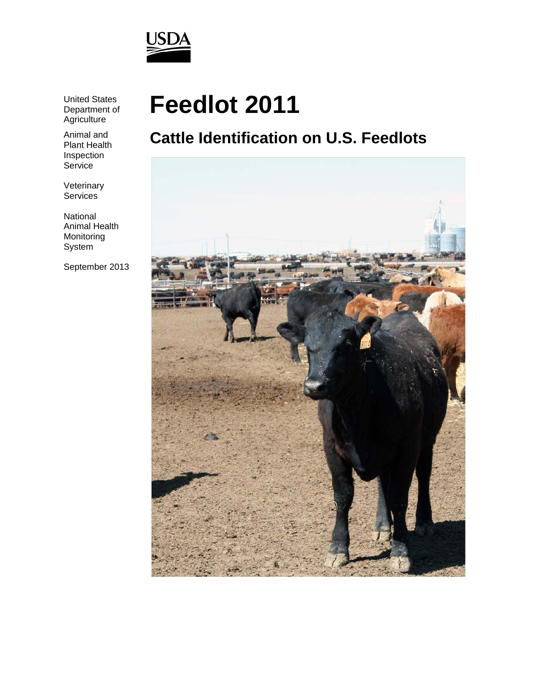

United States Department of **Agriculture** 

Animal and Plant Health Inspection **Service** 

Veterinary **Services** 

National Animal Health Monitoring System

September 2013

# **Feedlot 2011**

# **Cattle Identification on U.S. Feedlots**

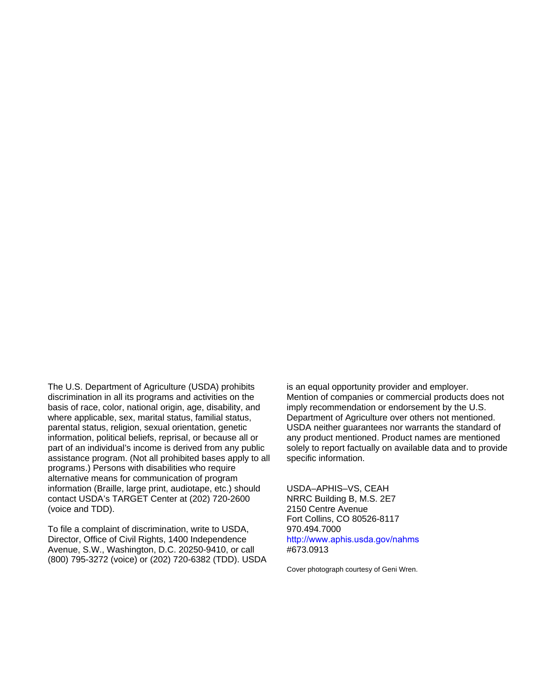The U.S. Department of Agriculture (USDA) prohibits discrimination in all its programs and activities on the basis of race, color, national origin, age, disability, and where applicable, sex, marital status, familial status, parental status, religion, sexual orientation, genetic information, political beliefs, reprisal, or because all or part of an individual's income is derived from any public assistance program. (Not all prohibited bases apply to all programs.) Persons with disabilities who require alternative means for communication of program information (Braille, large print, audiotape, etc.) should contact USDA's TARGET Center at (202) 720-2600 (voice and TDD).

To file a complaint of discrimination, write to USDA, Director, Office of Civil Rights, 1400 Independence Avenue, S.W., Washington, D.C. 20250-9410, or call (800) 795-3272 (voice) or (202) 720-6382 (TDD). USDA

is an equal opportunity provider and employer. Mention of companies or commercial products does not imply recommendation or endorsement by the U.S. Department of Agriculture over others not mentioned. USDA neither guarantees nor warrants the standard of any product mentioned. Product names are mentioned solely to report factually on available data and to provide specific information.

USDA–APHIS–VS, CEAH NRRC Building B, M.S. 2E7 2150 Centre Avenue Fort Collins, CO 80526-8117 970.494.7000 http://www.aphis.usda.gov/nahms #673.0913

Cover photograph courtesy of Geni Wren.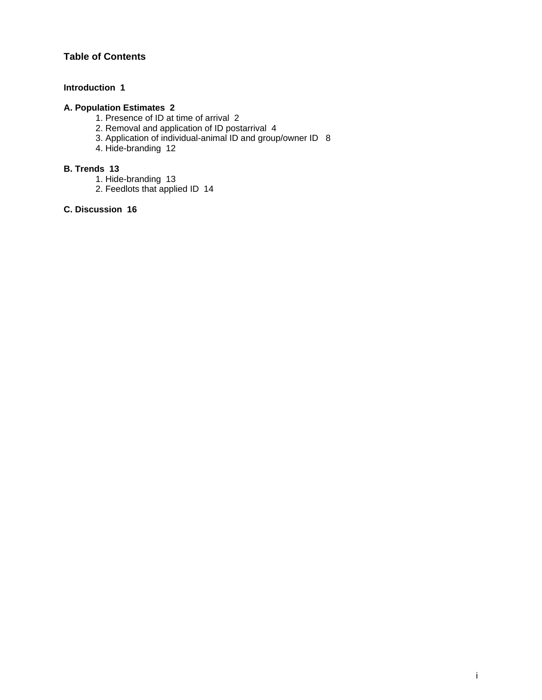# **Table of Contents**

#### **Introduction 1**

## **A. Population Estimates 2**

- 1. Presence of ID at time of arrival 2
- 2. Removal and application of ID postarrival 4
- 3. Application of individual-animal ID and group/owner ID 8
	- 4. Hide-branding 12

#### **B. Trends 13**

- 1. Hide-branding 13
- 2. Feedlots that applied ID 14

#### **C. Discussion 16**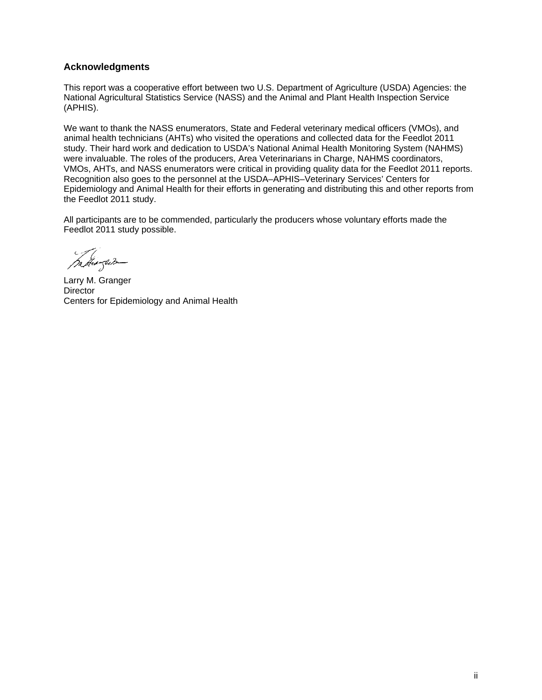#### **Acknowledgments**

This report was a cooperative effort between two U.S. Department of Agriculture (USDA) Agencies: the National Agricultural Statistics Service (NASS) and the Animal and Plant Health Inspection Service (APHIS).

We want to thank the NASS enumerators, State and Federal veterinary medical officers (VMOs), and animal health technicians (AHTs) who visited the operations and collected data for the Feedlot 2011 study. Their hard work and dedication to USDA's National Animal Health Monitoring System (NAHMS) were invaluable. The roles of the producers, Area Veterinarians in Charge, NAHMS coordinators, VMOs, AHTs, and NASS enumerators were critical in providing quality data for the Feedlot 2011 reports. Recognition also goes to the personnel at the USDA–APHIS–Veterinary Services' Centers for Epidemiology and Animal Health for their efforts in generating and distributing this and other reports from the Feedlot 2011 study.

All participants are to be commended, particularly the producers whose voluntary efforts made the Feedlot 2011 study possible.

mangum

Larry M. Granger **Director** Centers for Epidemiology and Animal Health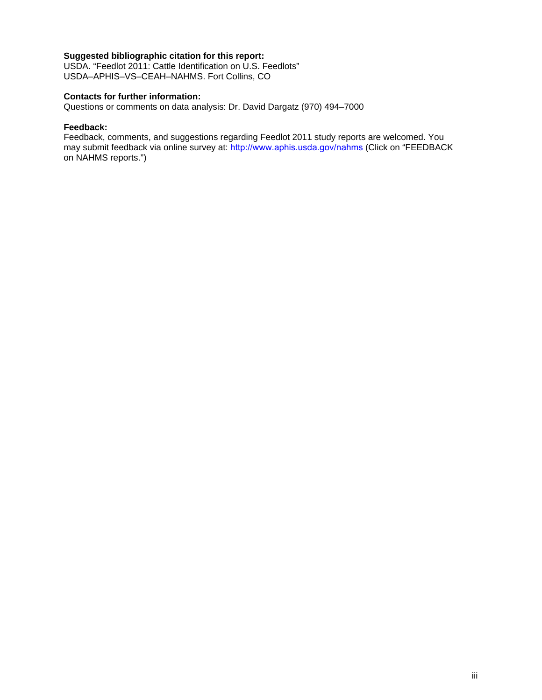#### **Suggested bibliographic citation for this report:**

USDA. "Feedlot 2011: Cattle Identification on U.S. Feedlots" USDA–APHIS–VS–CEAH–NAHMS. Fort Collins, CO

#### **Contacts for further information:**

Questions or comments on data analysis: Dr. David Dargatz (970) 494–7000

#### **Feedback:**

Feedback, comments, and suggestions regarding Feedlot 2011 study reports are welcomed. You may submit feedback via online survey at: http://www.aphis.usda.gov/nahms (Click on "FEEDBACK on NAHMS reports.")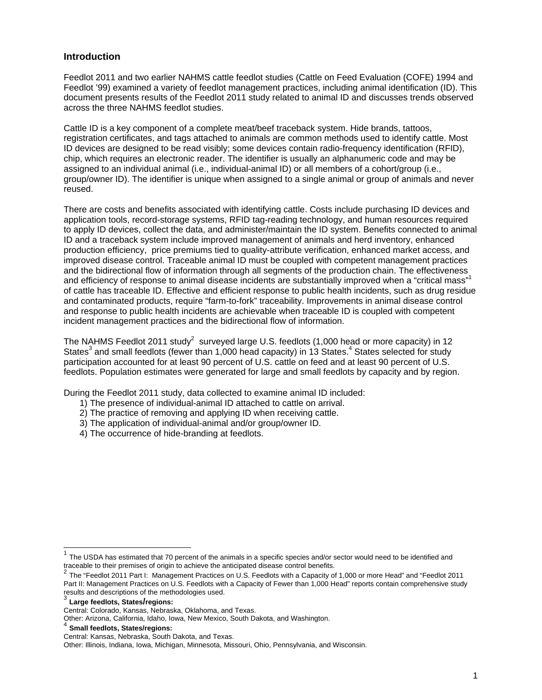#### **Introduction**

Feedlot 2011 and two earlier NAHMS cattle feedlot studies (Cattle on Feed Evaluation (COFE) 1994 and Feedlot '99) examined a variety of feedlot management practices, including animal identification (ID). This document presents results of the Feedlot 2011 study related to animal ID and discusses trends observed across the three NAHMS feedlot studies.

Cattle ID is a key component of a complete meat/beef traceback system. Hide brands, tattoos, registration certificates, and tags attached to animals are common methods used to identify cattle. Most ID devices are designed to be read visibly; some devices contain radio-frequency identification (RFID), chip, which requires an electronic reader. The identifier is usually an alphanumeric code and may be assigned to an individual animal (i.e., individual-animal ID) or all members of a cohort/group (i.e., group/owner ID). The identifier is unique when assigned to a single animal or group of animals and never reused.

There are costs and benefits associated with identifying cattle. Costs include purchasing ID devices and application tools, record-storage systems, RFID tag-reading technology, and human resources required to apply ID devices, collect the data, and administer/maintain the ID system. Benefits connected to animal ID and a traceback system include improved management of animals and herd inventory, enhanced production efficiency, price premiums tied to quality-attribute verification, enhanced market access, and improved disease control. Traceable animal ID must be coupled with competent management practices and the bidirectional flow of information through all segments of the production chain. The effectiveness and efficiency of response to animal disease incidents are substantially improved when a "critical mass" of cattle has traceable ID. Effective and efficient response to public health incidents, such as drug residue and contaminated products, require "farm-to-fork" traceability. Improvements in animal disease control and response to public health incidents are achievable when traceable ID is coupled with competent incident management practices and the bidirectional flow of information.

The NAHMS Feedlot 2011 study<sup>2</sup> surveyed large U.S. feedlots (1,000 head or more capacity) in 12 States<sup>3</sup> and small feedlots (fewer than 1,000 head capacity) in 13 States.<sup>4</sup> States selected for study participation accounted for at least 90 percent of U.S. cattle on feed and at least 90 percent of U.S. feedlots. Population estimates were generated for large and small feedlots by capacity and by region.

During the Feedlot 2011 study, data collected to examine animal ID included:

- 1) The presence of individual-animal ID attached to cattle on arrival.
- 2) The practice of removing and applying ID when receiving cattle.
- 3) The application of individual-animal and/or group/owner ID.
- 4) The occurrence of hide-branding at feedlots.

 $\overline{\phantom{a}}$ 

 $1$  The USDA has estimated that 70 percent of the animals in a specific species and/or sector would need to be identified and traceable to their premises of origin to achieve the anticipated disease control benefits.

<sup>2</sup> The "Feedlot 2011 Part I: Management Practices on U.S. Feedlots with a Capacity of 1,000 or more Head" and "Feedlot 2011 Part II: Management Practices on U.S. Feedlots with a Capacity of Fewer than 1,000 Head" reports contain comprehensive study results and descriptions of the methodologies used.

Large feedlots, States/regions:

Central: Colorado, Kansas, Nebraska, Oklahoma, and Texas.

Other: Arizona, California, Idaho, Iowa, New Mexico, South Dakota, and Washington.

<sup>4</sup> **Small feedlots, States/regions:**

Central: Kansas, Nebraska, South Dakota, and Texas.

Other: Illinois, Indiana, Iowa, Michigan, Minnesota, Missouri, Ohio, Pennsylvania, and Wisconsin.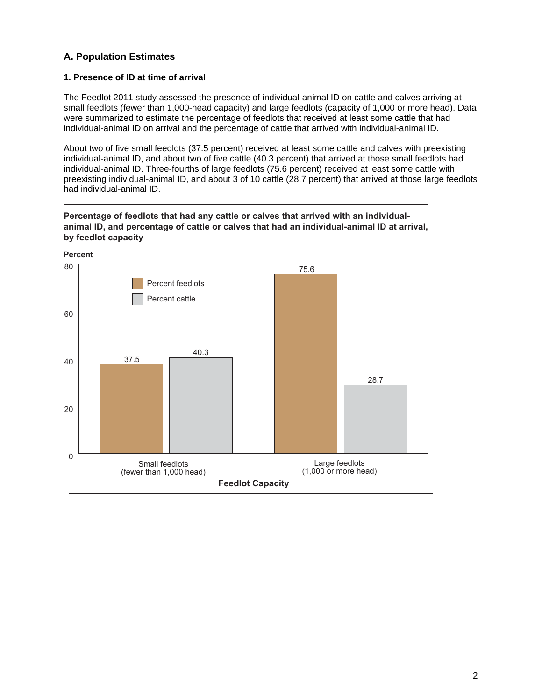# **A. Population Estimates**

#### **1. Presence of ID at time of arrival**

The Feedlot 2011 study assessed the presence of individual-animal ID on cattle and calves arriving at small feedlots (fewer than 1,000-head capacity) and large feedlots (capacity of 1,000 or more head). Data were summarized to estimate the percentage of feedlots that received at least some cattle that had individual-animal ID on arrival and the percentage of cattle that arrived with individual-animal ID.

About two of five small feedlots (37.5 percent) received at least some cattle and calves with preexisting individual-animal ID, and about two of five cattle (40.3 percent) that arrived at those small feedlots had individual-animal ID. Three-fourths of large feedlots (75.6 percent) received at least some cattle with preexisting individual-animal ID, and about 3 of 10 cattle (28.7 percent) that arrived at those large feedlots had individual-animal ID.



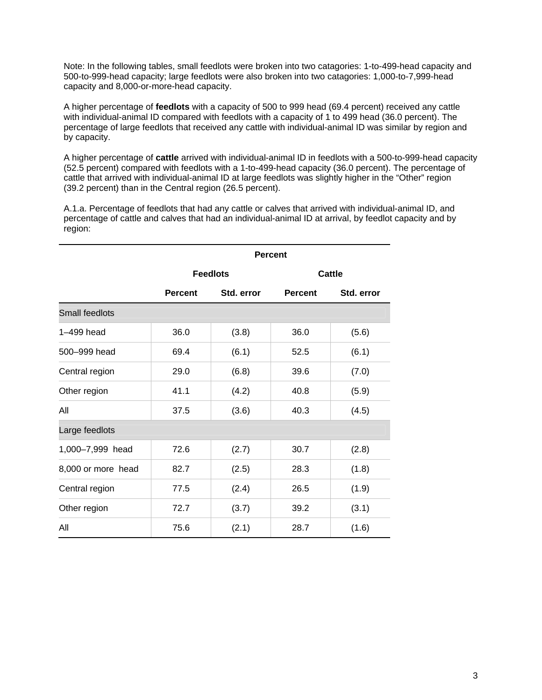Note: In the following tables, small feedlots were broken into two catagories: 1-to-499-head capacity and 500-to-999-head capacity; large feedlots were also broken into two catagories: 1,000-to-7,999-head capacity and 8,000-or-more-head capacity.

A higher percentage of **feedlots** with a capacity of 500 to 999 head (69.4 percent) received any cattle with individual-animal ID compared with feedlots with a capacity of 1 to 499 head (36.0 percent). The percentage of large feedlots that received any cattle with individual-animal ID was similar by region and by capacity.

A higher percentage of **cattle** arrived with individual-animal ID in feedlots with a 500-to-999-head capacity (52.5 percent) compared with feedlots with a 1-to-499-head capacity (36.0 percent). The percentage of cattle that arrived with individual-animal ID at large feedlots was slightly higher in the "Other" region (39.2 percent) than in the Central region (26.5 percent).

A.1.a. Percentage of feedlots that had any cattle or calves that arrived with individual-animal ID, and percentage of cattle and calves that had an individual-animal ID at arrival, by feedlot capacity and by region:

|                    | <b>Percent</b>               |       |                |            |  |
|--------------------|------------------------------|-------|----------------|------------|--|
|                    | <b>Feedlots</b>              |       | <b>Cattle</b>  |            |  |
|                    | <b>Percent</b><br>Std. error |       | <b>Percent</b> | Std. error |  |
| Small feedlots     |                              |       |                |            |  |
| 1-499 head         | 36.0                         | (3.8) | 36.0           | (5.6)      |  |
| 500-999 head       | 69.4                         | (6.1) | 52.5           | (6.1)      |  |
| Central region     | 29.0                         | (6.8) | 39.6           | (7.0)      |  |
| Other region       | 41.1                         | (4.2) | 40.8           | (5.9)      |  |
| All                | 37.5                         | (3.6) | 40.3           | (4.5)      |  |
| Large feedlots     |                              |       |                |            |  |
| 1,000-7,999 head   | 72.6                         | (2.7) | 30.7           | (2.8)      |  |
| 8,000 or more head | 82.7                         | (2.5) | 28.3           | (1.8)      |  |
| Central region     | 77.5                         | (2.4) | 26.5           | (1.9)      |  |
| Other region       | 72.7                         | (3.7) | 39.2           | (3.1)      |  |
| All                | 75.6                         | (2.1) | 28.7           | (1.6)      |  |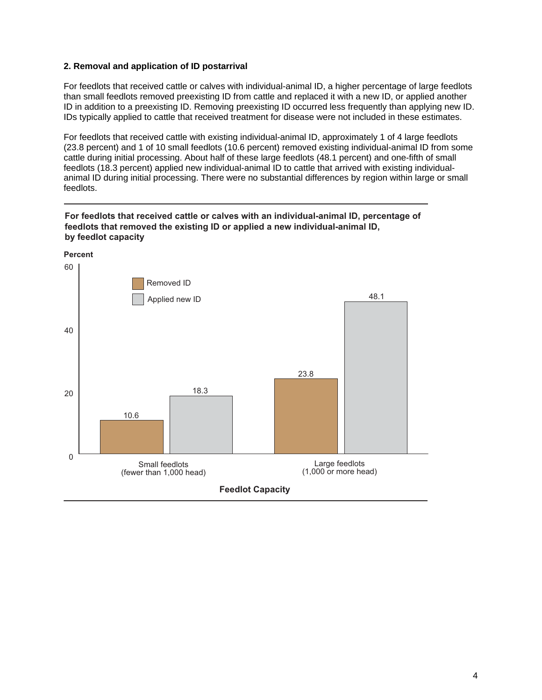#### **2. Removal and application of ID postarrival**

For feedlots that received cattle or calves with individual-animal ID, a higher percentage of large feedlots than small feedlots removed preexisting ID from cattle and replaced it with a new ID, or applied another ID in addition to a preexisting ID. Removing preexisting ID occurred less frequently than applying new ID. IDs typically applied to cattle that received treatment for disease were not included in these estimates.

For feedlots that received cattle with existing individual-animal ID, approximately 1 of 4 large feedlots (23.8 percent) and 1 of 10 small feedlots (10.6 percent) removed existing individual-animal ID from some cattle during initial processing. About half of these large feedlots (48.1 percent) and one-fifth of small feedlots (18.3 percent) applied new individual-animal ID to cattle that arrived with existing individualanimal ID during initial processing. There were no substantial differences by region within large or small feedlots.



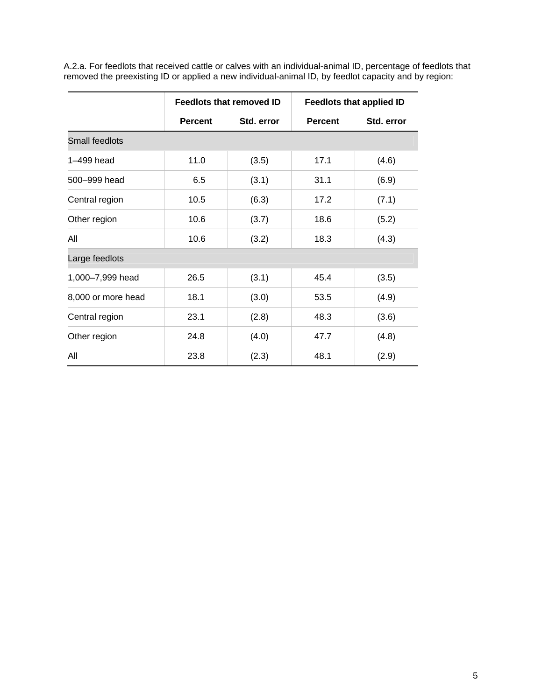|                    | <b>Feedlots that removed ID</b> |            | <b>Feedlots that applied ID</b> |            |  |
|--------------------|---------------------------------|------------|---------------------------------|------------|--|
|                    | <b>Percent</b>                  | Std. error | <b>Percent</b>                  | Std. error |  |
| Small feedlots     |                                 |            |                                 |            |  |
| 1-499 head         | 11.0                            | (3.5)      | 17.1                            | (4.6)      |  |
| 500-999 head       | 6.5                             | (3.1)      | 31.1                            | (6.9)      |  |
| Central region     | 10.5                            | (6.3)      | 17.2                            | (7.1)      |  |
| Other region       | 10.6                            | (3.7)      | 18.6                            | (5.2)      |  |
| All                | 10.6                            | (3.2)      | 18.3                            | (4.3)      |  |
| Large feedlots     |                                 |            |                                 |            |  |
| 1,000-7,999 head   | 26.5                            | (3.1)      | 45.4                            | (3.5)      |  |
| 8,000 or more head | 18.1                            | (3.0)      | 53.5                            | (4.9)      |  |
| Central region     | 23.1                            | (2.8)      | 48.3                            | (3.6)      |  |
| Other region       | 24.8                            | (4.0)      | 47.7                            | (4.8)      |  |
| All                | 23.8                            | (2.3)      | 48.1                            | (2.9)      |  |

A.2.a. For feedlots that received cattle or calves with an individual-animal ID, percentage of feedlots that removed the preexisting ID or applied a new individual-animal ID, by feedlot capacity and by region: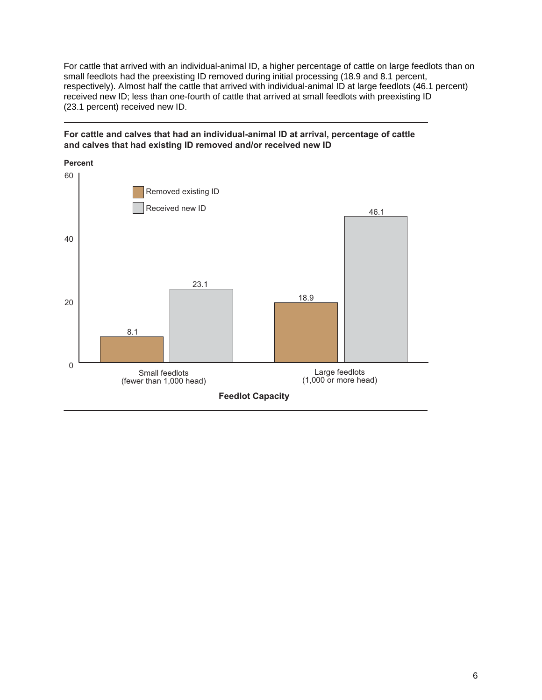For cattle that arrived with an individual-animal ID, a higher percentage of cattle on large feedlots than on small feedlots had the preexisting ID removed during initial processing (18.9 and 8.1 percent, respectively). Almost half the cattle that arrived with individual-animal ID at large feedlots (46.1 percent) received new ID; less than one-fourth of cattle that arrived at small feedlots with preexisting ID (23.1 percent) received new ID.



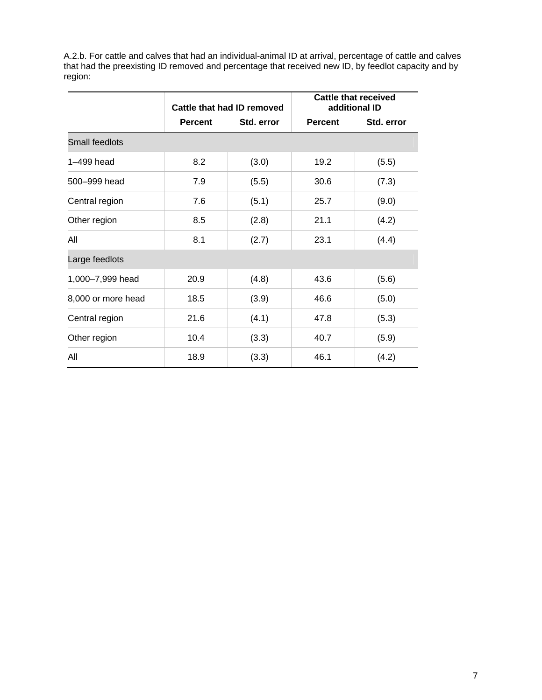A.2.b. For cattle and calves that had an individual-animal ID at arrival, percentage of cattle and calves that had the preexisting ID removed and percentage that received new ID, by feedlot capacity and by region:

|                    | Cattle that had ID removed   |       | <b>Cattle that received</b><br>additional ID |            |  |
|--------------------|------------------------------|-------|----------------------------------------------|------------|--|
|                    | Std. error<br><b>Percent</b> |       | <b>Percent</b>                               | Std. error |  |
| Small feedlots     |                              |       |                                              |            |  |
| 1-499 head         | 8.2                          | (3.0) | 19.2                                         | (5.5)      |  |
| 500-999 head       | 7.9                          | (5.5) | 30.6                                         | (7.3)      |  |
| Central region     | 7.6                          | (5.1) | 25.7                                         | (9.0)      |  |
| Other region       | 8.5                          | (2.8) | 21.1                                         | (4.2)      |  |
| All                | 8.1                          | (2.7) | 23.1                                         | (4.4)      |  |
| Large feedlots     |                              |       |                                              |            |  |
| 1,000-7,999 head   | 20.9                         | (4.8) | 43.6                                         | (5.6)      |  |
| 8,000 or more head | 18.5                         | (3.9) | 46.6                                         | (5.0)      |  |
| Central region     | 21.6                         | (4.1) | 47.8                                         | (5.3)      |  |
| Other region       | 10.4                         | (3.3) | 40.7                                         | (5.9)      |  |
| All                | 18.9                         | (3.3) | 46.1                                         | (4.2)      |  |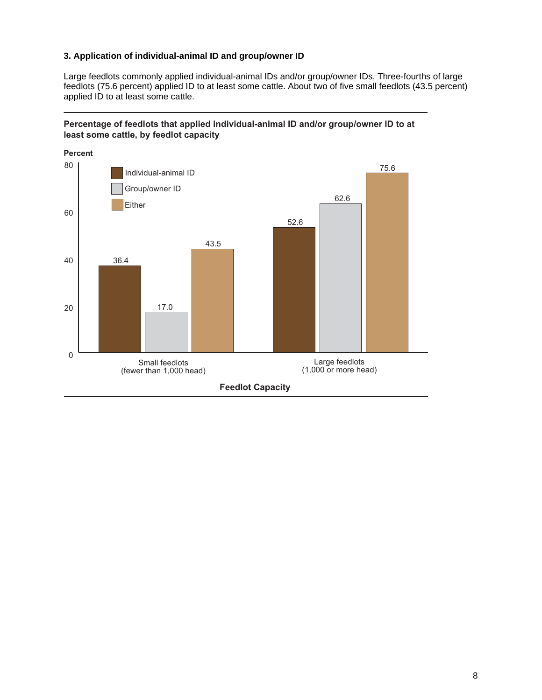#### **3. Application of individual-animal ID and group/owner ID**

Large feedlots commonly applied individual-animal IDs and/or group/owner IDs. Three-fourths of large feedlots (75.6 percent) applied ID to at least some cattle. About two of five small feedlots (43.5 percent) applied ID to at least some cattle.



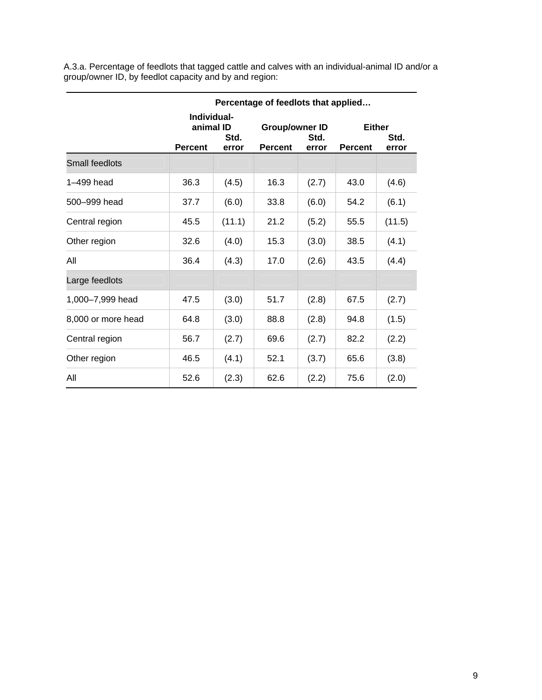A.3.a. Percentage of feedlots that tagged cattle and calves with an individual-animal ID and/or a group/owner ID, by feedlot capacity and by and region:

|                    | Percentage of feedlots that applied                         |        |                                                          |       |                                                  |        |
|--------------------|-------------------------------------------------------------|--------|----------------------------------------------------------|-------|--------------------------------------------------|--------|
|                    | Individual-<br>animal ID<br>Std.<br><b>Percent</b><br>error |        | <b>Group/owner ID</b><br>Std.<br><b>Percent</b><br>error |       | <b>Either</b><br>Std.<br><b>Percent</b><br>error |        |
| Small feedlots     |                                                             |        |                                                          |       |                                                  |        |
| 1-499 head         | 36.3                                                        | (4.5)  | 16.3                                                     | (2.7) | 43.0                                             | (4.6)  |
| 500-999 head       | 37.7                                                        | (6.0)  | 33.8                                                     | (6.0) | 54.2                                             | (6.1)  |
| Central region     | 45.5                                                        | (11.1) | 21.2                                                     | (5.2) | 55.5                                             | (11.5) |
| Other region       | 32.6                                                        | (4.0)  | 15.3                                                     | (3.0) | 38.5                                             | (4.1)  |
| All                | 36.4                                                        | (4.3)  | 17.0                                                     | (2.6) | 43.5                                             | (4.4)  |
| Large feedlots     |                                                             |        |                                                          |       |                                                  |        |
| 1,000-7,999 head   | 47.5                                                        | (3.0)  | 51.7                                                     | (2.8) | 67.5                                             | (2.7)  |
| 8,000 or more head | 64.8                                                        | (3.0)  | 88.8                                                     | (2.8) | 94.8                                             | (1.5)  |
| Central region     | 56.7                                                        | (2.7)  | 69.6                                                     | (2.7) | 82.2                                             | (2.2)  |
| Other region       | 46.5                                                        | (4.1)  | 52.1                                                     | (3.7) | 65.6                                             | (3.8)  |
| All                | 52.6                                                        | (2.3)  | 62.6                                                     | (2.2) | 75.6                                             | (2.0)  |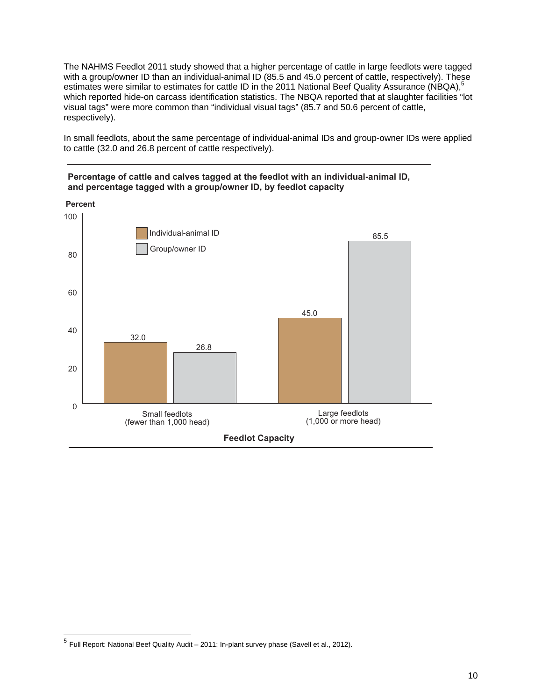The NAHMS Feedlot 2011 study showed that a higher percentage of cattle in large feedlots were tagged with a group/owner ID than an individual-animal ID (85.5 and 45.0 percent of cattle, respectively). These estimates were similar to estimates for cattle ID in the 2011 National Beef Quality Assurance (NBQA),<sup>5</sup> which reported hide-on carcass identification statistics. The NBQA reported that at slaughter facilities "lot visual tags" were more common than "individual visual tags" (85.7 and 50.6 percent of cattle, respectively).

In small feedlots, about the same percentage of individual-animal IDs and group-owner IDs were applied to cattle (32.0 and 26.8 percent of cattle respectively).







 $^5$  Full Report: National Beef Quality Audit – 2011: In-plant survey phase (Savell et al., 2012).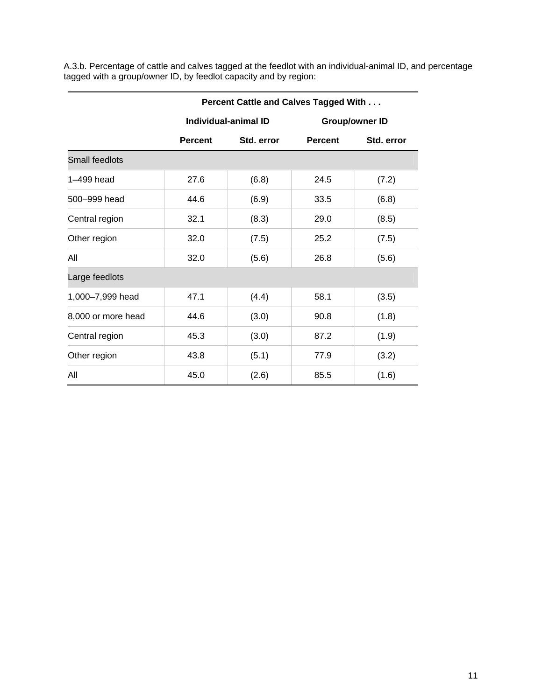A.3.b. Percentage of cattle and calves tagged at the feedlot with an individual-animal ID, and percentage tagged with a group/owner ID, by feedlot capacity and by region:

|                       | Percent Cattle and Calves Tagged With |       |                       |            |  |
|-----------------------|---------------------------------------|-------|-----------------------|------------|--|
|                       | Individual-animal ID                  |       | <b>Group/owner ID</b> |            |  |
|                       | Std. error<br><b>Percent</b>          |       | <b>Percent</b>        | Std. error |  |
| <b>Small feedlots</b> |                                       |       |                       |            |  |
| 1-499 head            | 27.6                                  | (6.8) | 24.5                  | (7.2)      |  |
| 500-999 head          | 44.6                                  | (6.9) | 33.5                  | (6.8)      |  |
| Central region        | 32.1                                  | (8.3) | 29.0                  | (8.5)      |  |
| Other region          | 32.0                                  | (7.5) | 25.2                  | (7.5)      |  |
| All                   | 32.0                                  | (5.6) | 26.8                  | (5.6)      |  |
| Large feedlots        |                                       |       |                       |            |  |
| 1,000-7,999 head      | 47.1                                  | (4.4) | 58.1                  | (3.5)      |  |
| 8,000 or more head    | 44.6                                  | (3.0) | 90.8                  | (1.8)      |  |
| Central region        | 45.3                                  | (3.0) | 87.2                  | (1.9)      |  |
| Other region          | 43.8                                  | (5.1) | 77.9                  | (3.2)      |  |
| All                   | 45.0                                  | (2.6) | 85.5                  | (1.6)      |  |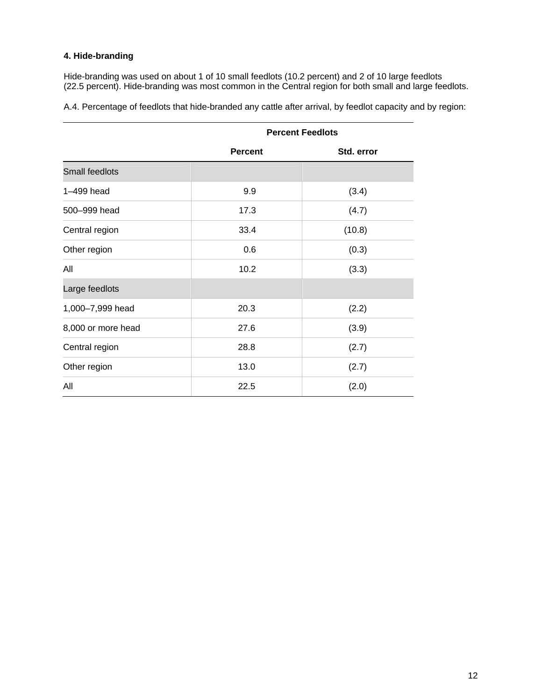# **4. Hide-branding**

Hide-branding was used on about 1 of 10 small feedlots (10.2 percent) and 2 of 10 large feedlots (22.5 percent). Hide-branding was most common in the Central region for both small and large feedlots.

A.4. Percentage of feedlots that hide-branded any cattle after arrival, by feedlot capacity and by region:

|                    | <b>Percent Feedlots</b> |            |  |  |
|--------------------|-------------------------|------------|--|--|
|                    | <b>Percent</b>          | Std. error |  |  |
| Small feedlots     |                         |            |  |  |
| 1-499 head         | 9.9                     | (3.4)      |  |  |
| 500-999 head       | 17.3                    | (4.7)      |  |  |
| Central region     | 33.4                    | (10.8)     |  |  |
| Other region       | 0.6                     | (0.3)      |  |  |
| All                | 10.2                    | (3.3)      |  |  |
| Large feedlots     |                         |            |  |  |
| 1,000-7,999 head   | 20.3                    | (2.2)      |  |  |
| 8,000 or more head | 27.6                    | (3.9)      |  |  |
| Central region     | 28.8                    | (2.7)      |  |  |
| Other region       | 13.0                    | (2.7)      |  |  |
| All                | 22.5                    | (2.0)      |  |  |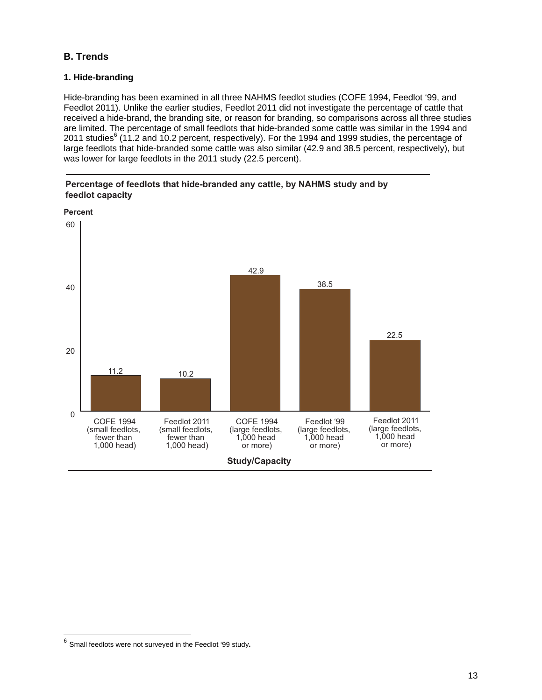# **B. Trends**

#### **1. Hide-branding**

Hide-branding has been examined in all three NAHMS feedlot studies (COFE 1994, Feedlot '99, and Feedlot 2011). Unlike the earlier studies, Feedlot 2011 did not investigate the percentage of cattle that received a hide-brand, the branding site, or reason for branding, so comparisons across all three studies are limited. The percentage of small feedlots that hide-branded some cattle was similar in the 1994 and 2011 studies $^6$  (11.2 and 10.2 percent, respectively). For the 1994 and 1999 studies, the percentage of large feedlots that hide-branded some cattle was also similar (42.9 and 38.5 percent, respectively), but was lower for large feedlots in the 2011 study (22.5 percent).





<sup>6</sup> Small feedlots were not surveyed in the Feedlot '99 study**.**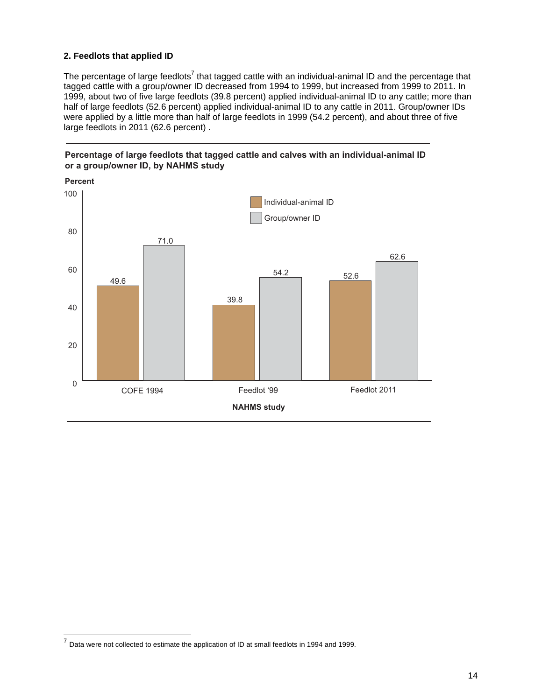#### **2. Feedlots that applied ID**

The percentage of large feedlots<sup>7</sup> that tagged cattle with an individual-animal ID and the percentage that tagged cattle with a group/owner ID decreased from 1994 to 1999, but increased from 1999 to 2011. In 1999, about two of five large feedlots (39.8 percent) applied individual-animal ID to any cattle; more than half of large feedlots (52.6 percent) applied individual-animal ID to any cattle in 2011. Group/owner IDs were applied by a little more than half of large feedlots in 1999 (54.2 percent), and about three of five large feedlots in 2011 (62.6 percent) .





 $^7$  Data were not collected to estimate the application of ID at small feedlots in 1994 and 1999.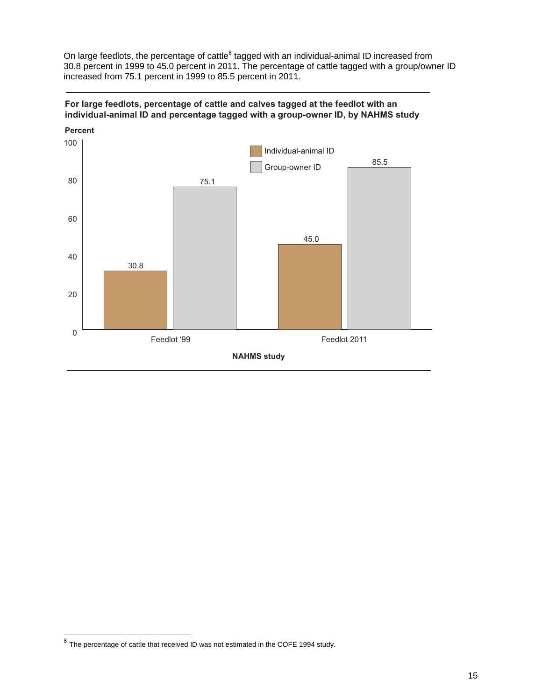On large feedlots, the percentage of cattle<sup>8</sup> tagged with an individual-animal ID increased from 30.8 percent in 1999 to 45.0 percent in 2011. The percentage of cattle tagged with a group/owner ID increased from 75.1 percent in 1999 to 85.5 percent in 2011.





 $^8$  The percentage of cattle that received ID was not estimated in the COFE 1994 study.